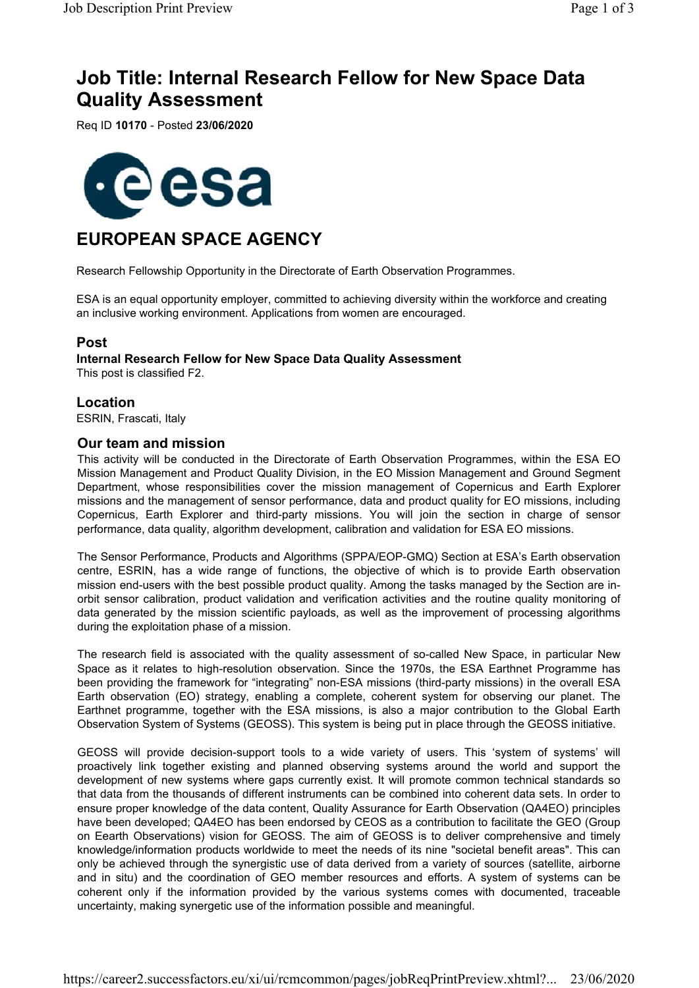# **Job Title: Internal Research Fellow for New Space Data Quality Assessment**

Req ID **10170** - Posted **23/06/2020**



## **EUROPEAN SPACE AGENCY**

Research Fellowship Opportunity in the Directorate of Earth Observation Programmes.

ESA is an equal opportunity employer, committed to achieving diversity within the workforce and creating an inclusive working environment. Applications from women are encouraged.

#### **Post**

**Internal Research Fellow for New Space Data Quality Assessment** This post is classified F2.

#### **Location**

ESRIN, Frascati, Italy

#### **Our team and mission**

This activity will be conducted in the Directorate of Earth Observation Programmes, within the ESA EO Mission Management and Product Quality Division, in the EO Mission Management and Ground Segment Department, whose responsibilities cover the mission management of Copernicus and Earth Explorer missions and the management of sensor performance, data and product quality for EO missions, including Copernicus, Earth Explorer and third-party missions. You will join the section in charge of sensor performance, data quality, algorithm development, calibration and validation for ESA EO missions.

The Sensor Performance, Products and Algorithms (SPPA/EOP-GMQ) Section at ESA's Earth observation centre, ESRIN, has a wide range of functions, the objective of which is to provide Earth observation mission end-users with the best possible product quality. Among the tasks managed by the Section are inorbit sensor calibration, product validation and verification activities and the routine quality monitoring of data generated by the mission scientific payloads, as well as the improvement of processing algorithms during the exploitation phase of a mission.

The research field is associated with the quality assessment of so-called New Space, in particular New Space as it relates to high-resolution observation. Since the 1970s, the ESA Earthnet Programme has been providing the framework for "integrating" non-ESA missions (third-party missions) in the overall ESA Earth observation (EO) strategy, enabling a complete, coherent system for observing our planet. The Earthnet programme, together with the ESA missions, is also a major contribution to the Global Earth Observation System of Systems (GEOSS). This system is being put in place through the GEOSS initiative.

GEOSS will provide decision-support tools to a wide variety of users. This 'system of systems' will proactively link together existing and planned observing systems around the world and support the development of new systems where gaps currently exist. It will promote common technical standards so that data from the thousands of different instruments can be combined into coherent data sets. In order to ensure proper knowledge of the data content, Quality Assurance for Earth Observation (QA4EO) principles have been developed; QA4EO has been endorsed by CEOS as a contribution to facilitate the GEO (Group on Eearth Observations) vision for GEOSS. The aim of GEOSS is to deliver comprehensive and timely knowledge/information products worldwide to meet the needs of its nine "societal benefit areas". This can only be achieved through the synergistic use of data derived from a variety of sources (satellite, airborne and in situ) and the coordination of GEO member resources and efforts. A system of systems can be coherent only if the information provided by the various systems comes with documented, traceable uncertainty, making synergetic use of the information possible and meaningful.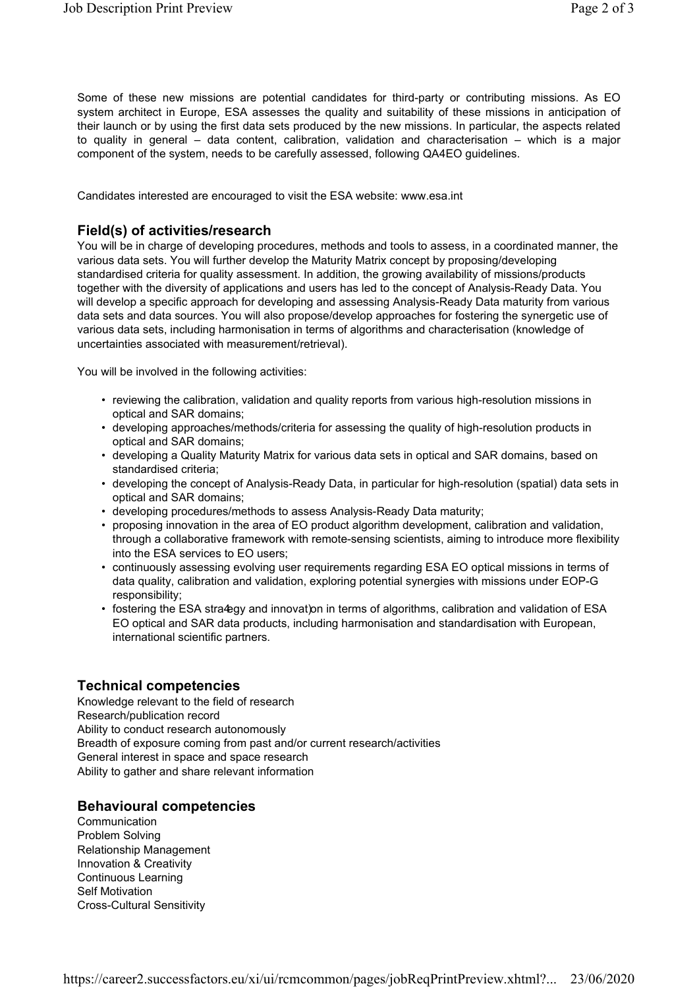Some of these new missions are potential candidates for third-party or contributing missions. As EO system architect in Europe, ESA assesses the quality and suitability of these missions in anticipation of their launch or by using the first data sets produced by the new missions. In particular, the aspects related to quality in general – data content, calibration, validation and characterisation – which is a major component of the system, needs to be carefully assessed, following QA4EO guidelines.

Candidates interested are encouraged to visit the ESA website: www.esa.int

#### **Field(s) of activities/research**

You will be in charge of developing procedures, methods and tools to assess, in a coordinated manner, the various data sets. You will further develop the Maturity Matrix concept by proposing/developing standardised criteria for quality assessment. In addition, the growing availability of missions/products together with the diversity of applications and users has led to the concept of Analysis-Ready Data. You will develop a specific approach for developing and assessing Analysis-Ready Data maturity from various data sets and data sources. You will also propose/develop approaches for fostering the synergetic use of various data sets, including harmonisation in terms of algorithms and characterisation (knowledge of uncertainties associated with measurement/retrieval).

You will be involved in the following activities:

- reviewing the calibration, validation and quality reports from various high-resolution missions in optical and SAR domains;
- developing approaches/methods/criteria for assessing the quality of high-resolution products in optical and SAR domains;
- developing a Quality Maturity Matrix for various data sets in optical and SAR domains, based on standardised criteria;
- developing the concept of Analysis-Ready Data, in particular for high-resolution (spatial) data sets in optical and SAR domains;
- developing procedures/methods to assess Analysis-Ready Data maturity;
- proposing innovation in the area of EO product algorithm development, calibration and validation, through a collaborative framework with remote-sensing scientists, aiming to introduce more flexibility into the ESA services to EO users;
- continuously assessing evolving user requirements regarding ESA EO optical missions in terms of data quality, calibration and validation, exploring potential synergies with missions under EOP-G responsibility;
- fostering the ESA stra4egy and innovat)on in terms of algorithms, calibration and validation of ESA EO optical and SAR data products, including harmonisation and standardisation with European, international scientific partners.

#### **Technical competencies**

Knowledge relevant to the field of research Research/publication record Ability to conduct research autonomously Breadth of exposure coming from past and/or current research/activities General interest in space and space research Ability to gather and share relevant information

#### **Behavioural competencies**

**Communication** Problem Solving Relationship Management Innovation & Creativity Continuous Learning Self Motivation Cross-Cultural Sensitivity